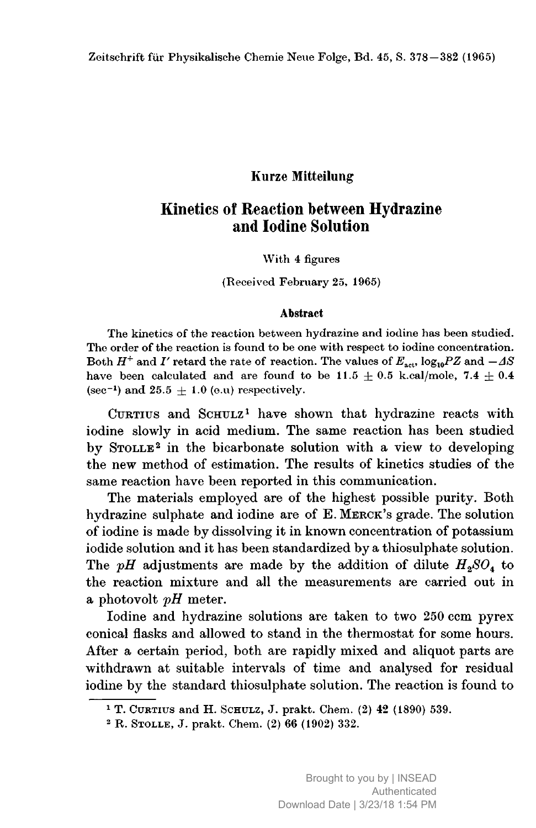### Kurze Mitteilung

# Kinetics of Reaction between Hydrazine and Iodine Solution

#### With <sup>4</sup> figures

#### (Received February 25, 1965)

#### Abstract

The kinetics of the reaction between hydrazine and iodine has been studied. The order of the reaction is found to be one with respect to iodine concentration. Both  $H^+$  and  $I'$  retard the rate of reaction. The values of  $E_{\text{act}}$ , log<sub>10</sub>PZ and  $-A\mathcal{S}$ have been calculated and are found to be  $11.5 \pm 0.5$  k.cal/mole,  $7.4 \pm 0.4$ (sec<sup>-1</sup>) and 25.5  $\pm$  1.0 (e.u) respectively.

CURTIUS and SCHULZ<sup>1</sup> have shown that hydrazine reacts with iodine slowly in acid medium. The same reaction has been studied by STOLLE<sup>2</sup> in the bicarbonate solution with a view to developing the new method of estimation. The results of kinetics studies of the same reaction have been reported in this communication.

The materials employed are of the highest possible purity. Both hydrazine sulphate and iodine are of E.Merck's grade. The solution of iodine is made by dissolving it in known concentration of potassium iodide solution and it has been standardized by <sup>a</sup> thiosulphate solution. The pH adjustments are made by the addition of dilute  $H_2SO_4$  to the reaction mixture and all the measurements are carried out in a photovolt  $pH$  meter.

Iodine and hydrazine solutions are taken to two <sup>250</sup> com pyrex conical flasks and allowed to stand in the thermostat for some hours. After <sup>a</sup> certain period, both are rapidly mixed and aliquot parts are withdrawn at suitable intervals of time and analysed for residual iodine by the standard thiosulphate solution. The reaction is found to

<sup>1</sup> T. Curtius and H. Schulz, J. prakt. Chem. (2) <sup>42</sup> (1890) 539.

<sup>2</sup> R. Stolle, J. prakt. Chem. (2) <sup>66</sup> (1902) 332.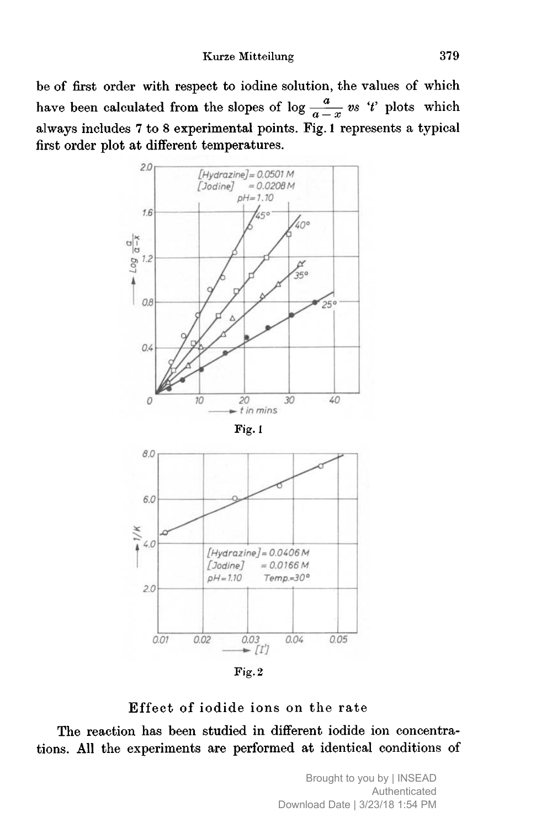be of first order with respect to iodine solution, the values of which have been calculated from the slopes of  $\log \frac{a}{a-x}$  vs 't' plots which always includes <sup>7</sup> to <sup>8</sup> experimental points. Fig. <sup>1</sup> represents <sup>a</sup> typical first order plot at different temperatures.



Fig. 2

# Effect of iodide ions on the rate

The reaction has been studied in different iodide ion concentrations. All the experiments are performed at identical conditions of

> Brought to you by | INSEAD Authenticated Download Date | 3/23/18 1:54 PM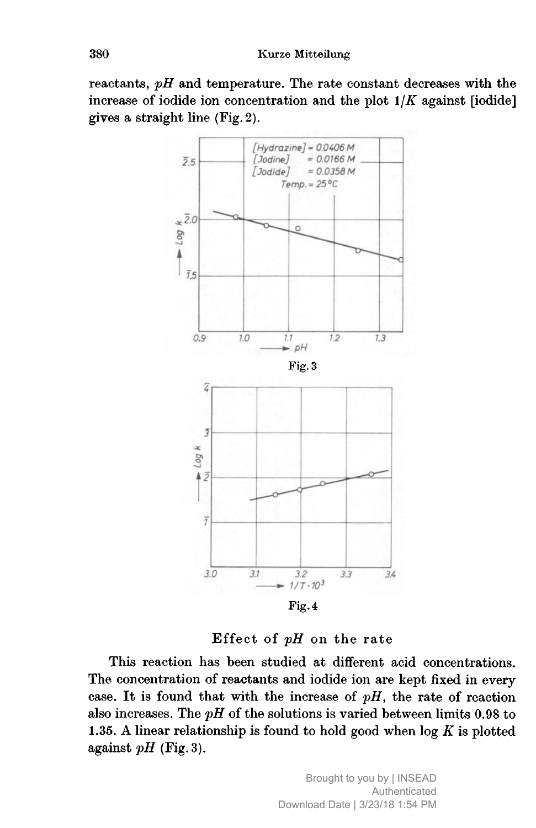reactants,  $pH$  and temperature. The rate constant decreases with the increase of iodide ion concentration and the plot  $1/K$  against [iodide] gives <sup>a</sup> straight line (Fig.2).



Effect of  $pH$  on the rate

This reaction has been studied at different acid concentrations. The concentration of reactants and iodide ion are kept fixed in every case. It is found that with the increase of  $pH$ , the rate of reaction also increases. The  $pH$  of the solutions is varied between limits 0.98 to 1.35. A linear relationship is found to hold good when  $log K$  is plotted against  $pH$  (Fig. 3).

> Brought to you by | INSEAD Authenticated Download Date | 3/23/18 1:54 PM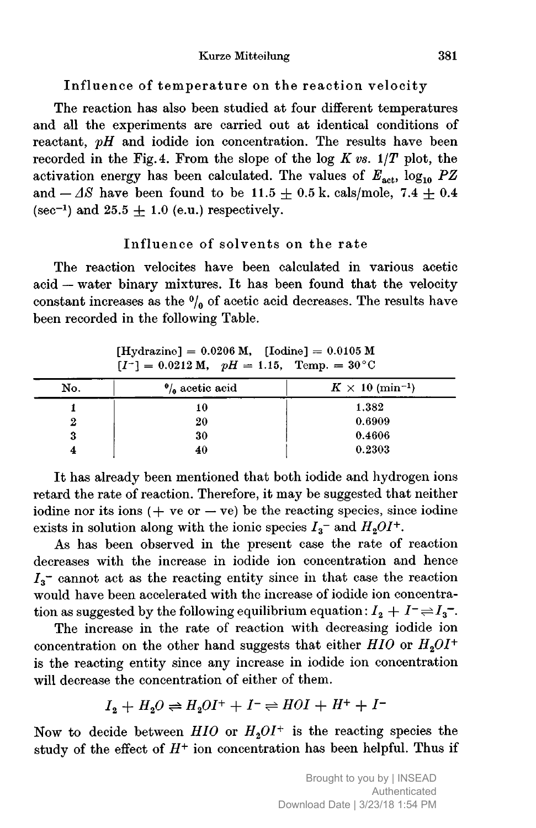#### Kurze Mitteilung 381

Influence of temperature on the reaction velocity

The reaction has also been studied at four different temperatures and all the experiments are carried out at identical conditions of reactant,  $pH$  and iodide ion concentration. The results have been recorded in the Fig. 4. From the slope of the log  $K \textit{vs. } 1/T$  plot, the activation energy has been calculated. The values of  $E_{\text{act}}$ , log<sub>10</sub> PZ and  $-\varDelta S$  have been found to be 11.5  $\pm$  0.5 k. cals/mole, 7.4  $\pm$  0.4  $(\sec^{-1})$  and  $25.5 \pm 1.0$  (e.u.) respectively.

### Influence of solvents on the rate

The reaction velocites have been calculated in various acetic acid -- water binary mixtures. It has been found that the velocity constant increases as the  $\frac{0}{0}$  of acetic acid decreases. The results have been recorded in the following Table.

| [Hydrazine] = $0.0206$ M, [Iodine] = $0.0105$ M |  |  |
|-------------------------------------------------|--|--|
| $[I^+] = 0.0212$ M, $pH = 1.15$ , Temp. = 30°C  |  |  |

| No. | $\frac{1}{2}$ acetic acid | $K \times 10 \; (\text{min}^{-1})$ |  |
|-----|---------------------------|------------------------------------|--|
|     | 10                        | 1.382                              |  |
|     | 20                        | 0.6909                             |  |
| 3   | 30                        | 0.4606                             |  |
|     | 40                        | 0.2303                             |  |

It has already been mentioned that both iodide and hydrogen ions retard the rate of reaction. Therefore, it may be suggested that neither iodine nor its ions  $(+$  ve or  $-$  ve) be the reacting species, since iodine exists in solution along with the ionic species  $I_3$ <sup>-</sup> and  $H_2OI^+$ .

As has been observed in the present case the rate of reaction decreases with the increase in iodide ion concentration and hence  $I_3$ <sup>-</sup> cannot act as the reacting entity since in that case the reaction would have been accelerated with the increase of iodide ion concentration as suggested by the following equilibrium equation :  $I_2 + I^- \rightleftharpoons I_3^-$ .

The increase in the rate of reaction with decreasing iodide ion concentration on the other hand suggests that either  $HIO$  or  $H<sub>2</sub>OI<sup>+</sup>$ is the reacting entity since any increase in iodide ion concentration will decrease the concentration of either of them.

$$
I_2 + H_2O \rightleftharpoons H_2OI^+ + I^- \rightleftharpoons HOI + H^+ + I^-
$$

Now to decide between  $HIO$  or  $H<sub>2</sub>OI<sup>+</sup>$  is the reacting species the study of the effect of  $H^+$  ion concentration has been helpful. Thus if